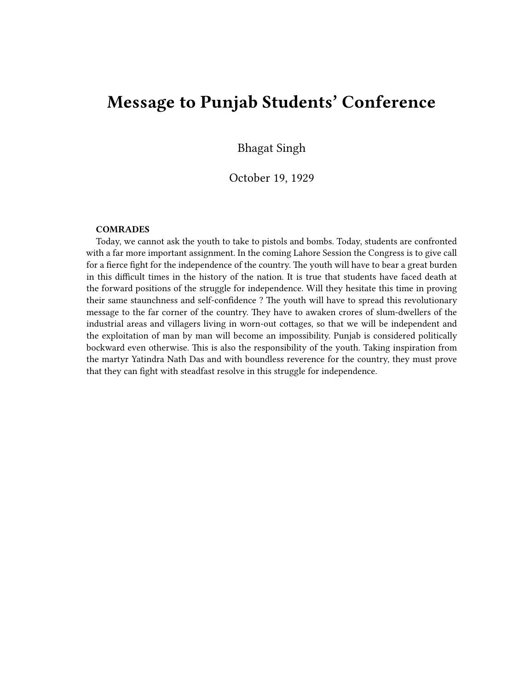## **Message to Punjab Students' Conference**

Bhagat Singh

October 19, 1929

## **COMRADES**

Today, we cannot ask the youth to take to pistols and bombs. Today, students are confronted with a far more important assignment. In the coming Lahore Session the Congress is to give call for a fierce fight for the independence of the country. The youth will have to bear a great burden in this difficult times in the history of the nation. It is true that students have faced death at the forward positions of the struggle for independence. Will they hesitate this time in proving their same staunchness and self-confidence ? The youth will have to spread this revolutionary message to the far corner of the country. They have to awaken crores of slum-dwellers of the industrial areas and villagers living in worn-out cottages, so that we will be independent and the exploitation of man by man will become an impossibility. Punjab is considered politically bockward even otherwise. This is also the responsibility of the youth. Taking inspiration from the martyr Yatindra Nath Das and with boundless reverence for the country, they must prove that they can fight with steadfast resolve in this struggle for independence.